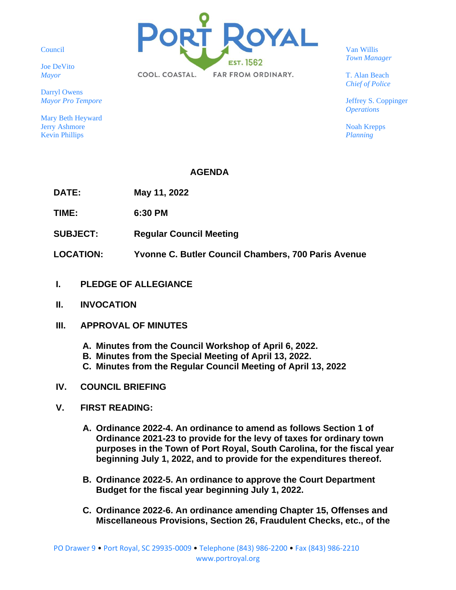Council

Joe DeVito *Mayor*

Darryl Owens *Mayor Pro Tempore*

Mary Beth Heyward Jerry Ashmore Kevin Phillips



Van Willis *Town Manager*

T. Alan Beach *Chief of Police*

Jeffrey S. Coppinger *Operations*

Noah Krepps *Planning*

# **AGENDA**

**DATE: May 11, 2022**

**TIME: 6:30 PM**

- **SUBJECT: Regular Council Meeting**
- **LOCATION: Yvonne C. Butler Council Chambers, 700 Paris Avenue**
- **I. PLEDGE OF ALLEGIANCE**
- **II. INVOCATION**
- **III. APPROVAL OF MINUTES**
	- **A. Minutes from the Council Workshop of April 6, 2022.**
	- **B. Minutes from the Special Meeting of April 13, 2022.**
	- **C. Minutes from the Regular Council Meeting of April 13, 2022**
- **IV. COUNCIL BRIEFING**
- **V. FIRST READING:**
	- **A. Ordinance 2022-4. An ordinance to amend as follows Section 1 of Ordinance 2021-23 to provide for the levy of taxes for ordinary town purposes in the Town of Port Royal, South Carolina, for the fiscal year beginning July 1, 2022, and to provide for the expenditures thereof.**
	- **B. Ordinance 2022-5. An ordinance to approve the Court Department Budget for the fiscal year beginning July 1, 2022.**
	- **C. Ordinance 2022-6. An ordinance amending Chapter 15, Offenses and Miscellaneous Provisions, Section 26, Fraudulent Checks, etc., of the**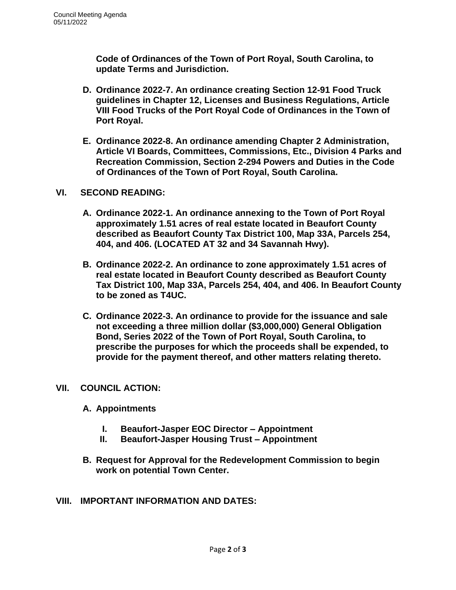**Code of Ordinances of the Town of Port Royal, South Carolina, to update Terms and Jurisdiction.** 

- **D. Ordinance 2022-7. An ordinance creating Section 12-91 Food Truck guidelines in Chapter 12, Licenses and Business Regulations, Article VIII Food Trucks of the Port Royal Code of Ordinances in the Town of Port Royal.**
- **E. Ordinance 2022-8. An ordinance amending Chapter 2 Administration, Article VI Boards, Committees, Commissions, Etc., Division 4 Parks and Recreation Commission, Section 2-294 Powers and Duties in the Code of Ordinances of the Town of Port Royal, South Carolina.**

## **VI. SECOND READING:**

- **A. Ordinance 2022-1. An ordinance annexing to the Town of Port Royal approximately 1.51 acres of real estate located in Beaufort County described as Beaufort County Tax District 100, Map 33A, Parcels 254, 404, and 406. (LOCATED AT 32 and 34 Savannah Hwy).**
- **B. Ordinance 2022-2. An ordinance to zone approximately 1.51 acres of real estate located in Beaufort County described as Beaufort County Tax District 100, Map 33A, Parcels 254, 404, and 406. In Beaufort County to be zoned as T4UC.**
- **C. Ordinance 2022-3. An ordinance to provide for the issuance and sale not exceeding a three million dollar (\$3,000,000) General Obligation Bond, Series 2022 of the Town of Port Royal, South Carolina, to prescribe the purposes for which the proceeds shall be expended, to provide for the payment thereof, and other matters relating thereto.**

## **VII. COUNCIL ACTION:**

# **A. Appointments**

- **I. Beaufort-Jasper EOC Director – Appointment**
- **II. Beaufort-Jasper Housing Trust – Appointment**
- **B. Request for Approval for the Redevelopment Commission to begin work on potential Town Center.**
- **VIII. IMPORTANT INFORMATION AND DATES:**